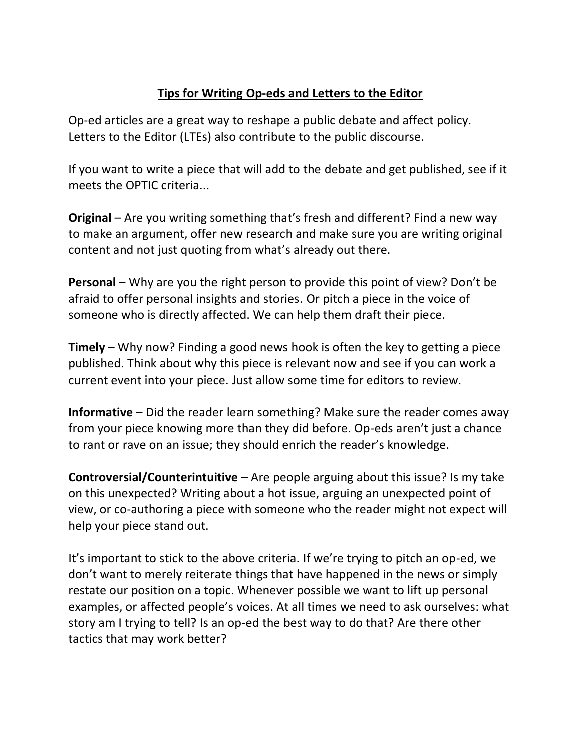## **Tips for Writing Op-eds and Letters to the Editor**

Op-ed articles are a great way to reshape a public debate and affect policy. Letters to the Editor (LTEs) also contribute to the public discourse.

If you want to write a piece that will add to the debate and get published, see if it meets the OPTIC criteria...

**Original** – Are you writing something that's fresh and different? Find a new way to make an argument, offer new research and make sure you are writing original content and not just quoting from what's already out there.

**Personal** – Why are you the right person to provide this point of view? Don't be afraid to offer personal insights and stories. Or pitch a piece in the voice of someone who is directly affected. We can help them draft their piece.

**Timely** – Why now? Finding a good news hook is often the key to getting a piece published. Think about why this piece is relevant now and see if you can work a current event into your piece. Just allow some time for editors to review.

**Informative** – Did the reader learn something? Make sure the reader comes away from your piece knowing more than they did before. Op-eds aren't just a chance to rant or rave on an issue; they should enrich the reader's knowledge.

**Controversial/Counterintuitive** – Are people arguing about this issue? Is my take on this unexpected? Writing about a hot issue, arguing an unexpected point of view, or co-authoring a piece with someone who the reader might not expect will help your piece stand out.

It's important to stick to the above criteria. If we're trying to pitch an op-ed, we don't want to merely reiterate things that have happened in the news or simply restate our position on a topic. Whenever possible we want to lift up personal examples, or affected people's voices. At all times we need to ask ourselves: what story am I trying to tell? Is an op-ed the best way to do that? Are there other tactics that may work better?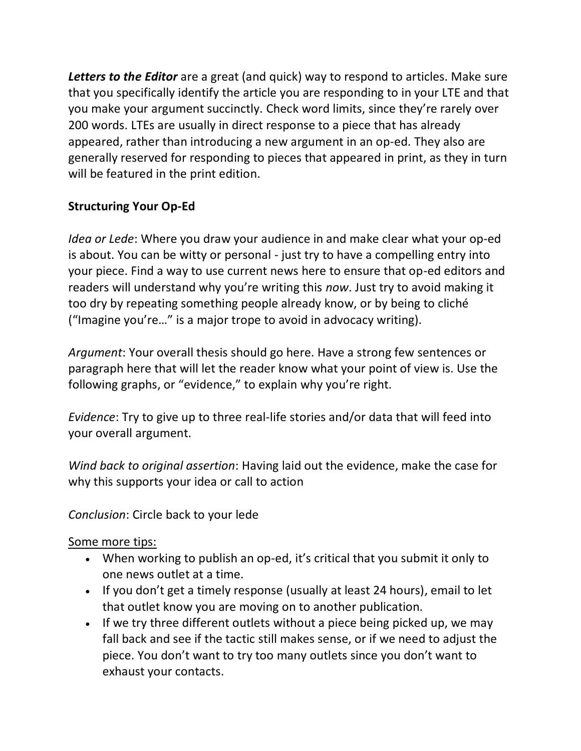Letters to the Editor are a great (and quick) way to respond to articles. Make sure that you specifically identify the article you are responding to in your LTE and that you make your argument succinctly. Check word limits, since they're rarely over 200 words. LTEs are usually in direct response to a piece that has already appeared, rather than introducing a new argument in an op-ed. They also are generally reserved for responding to pieces that appeared in print, as they in turn will be featured in the print edition.

## **Structuring Your Op-Ed**

*Idea or Lede*: Where you draw your audience in and make clear what your op-ed is about. You can be witty or personal - just try to have a compelling entry into your piece. Find a way to use current news here to ensure that op-ed editors and readers will understand why you're writing this *now*. Just try to avoid making it too dry by repeating something people already know, or by being to cliché ("Imagine you're…" is a major trope to avoid in advocacy writing).

*Argument*: Your overall thesis should go here. Have a strong few sentences or paragraph here that will let the reader know what your point of view is. Use the following graphs, or "evidence," to explain why you're right.

*Evidence*: Try to give up to three real-life stories and/or data that will feed into your overall argument.

*Wind back to original assertion*: Having laid out the evidence, make the case for why this supports your idea or call to action

*Conclusion*: Circle back to your lede

Some more tips:

- When working to publish an op-ed, it's critical that you submit it only to one news outlet at a time.
- If you don't get a timely response (usually at least 24 hours), email to let that outlet know you are moving on to another publication.
- If we try three different outlets without a piece being picked up, we may fall back and see if the tactic still makes sense, or if we need to adjust the piece. You don't want to try too many outlets since you don't want to exhaust your contacts.